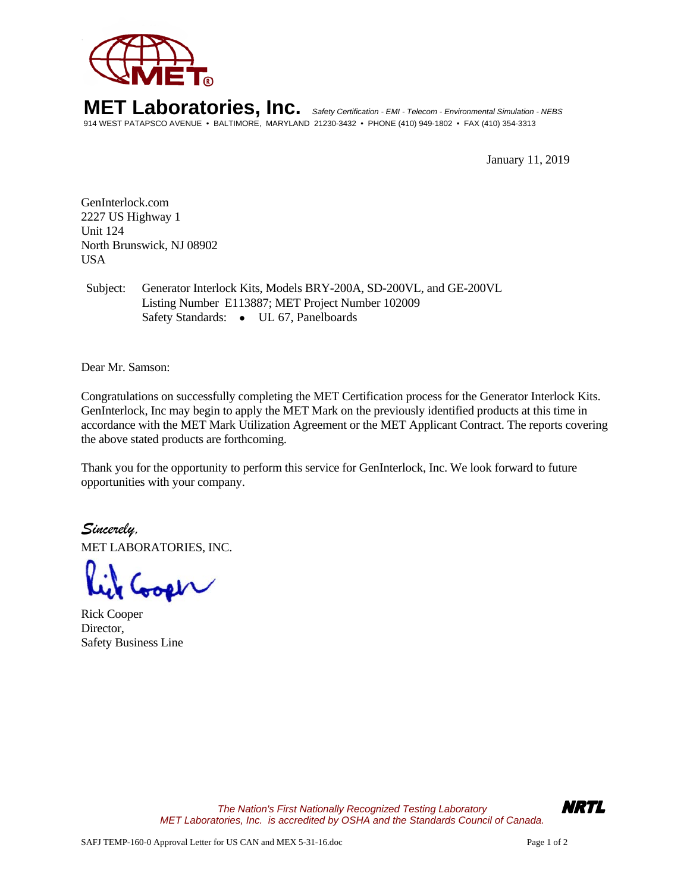

**MET Laboratories, Inc.** *Safety Certification - EMI - Telecom - Environmental Simulation - NEBS* 914 WEST PATAPSCO AVENUE • BALTIMORE, MARYLAND 21230-3432 • PHONE (410) 949-1802 • FAX (410) 354-3313

January 11, 2019

GenInterlock.com 2227 US Highway 1 Unit 124 North Brunswick, NJ 08902 USA

Subject: Generator Interlock Kits, Models BRY-200A, SD-200VL, and GE-200VL Listing Number E113887; MET Project Number 102009 Safety Standards: • UL 67, Panelboards

Dear Mr. Samson:

Congratulations on successfully completing the MET Certification process for the Generator Interlock Kits. GenInterlock, Inc may begin to apply the MET Mark on the previously identified products at this time in accordance with the MET Mark Utilization Agreement or the MET Applicant Contract. The reports covering the above stated products are forthcoming.

Thank you for the opportunity to perform this service for GenInterlock, Inc. We look forward to future opportunities with your company.

*Sincerely,* MET LABORATORIES, INC.

Rick Cooper Director, Safety Business Line